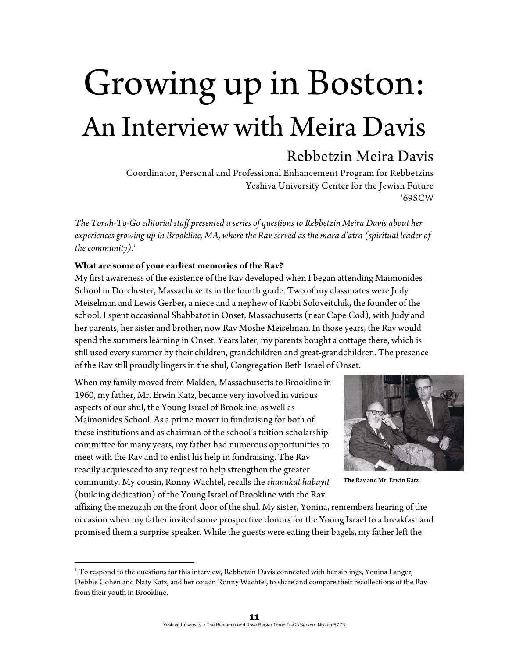# Growing up in Boston: An Interview with Meira Davis

# Rebbetzin Meira Davis

Coordinator, Personal and Professional Enhancement Program for Rebbetzins Yeshiva University Center for the Jewish Future '69SCW

*The Torah-To-Go editorial staff presented a series of questions to Rebbetzin Meira Davis about her experiences growing up in Brookline, MA, where the Rav served as the mara d'atra (spiritual leader of the community).1*

#### **What are some of your earliest memories of the Rav?**

My first awareness of the existence of the Rav developed when I began attending Maimonides School in Dorchester, Massachusetts in the fourth grade. Two of my classmates were Judy Meiselman and Lewis Gerber, a niece and a nephew of Rabbi Soloveitchik, the founder of the school. I spent occasional Shabbatot in Onset, Massachusetts (near Cape Cod), with Judy and her parents, her sister and brother, now Rav Moshe Meiselman. In those years, the Rav would spend the summers learning in Onset. Years later, my parents bought a cottage there, which is still used every summer by their children, grandchildren and great-grandchildren. The presence of the Rav still proudly lingers in the shul, Congregation Beth Israel of Onset.

When my family moved from Malden, Massachusetts to Brookline in 1960, my father, Mr. Erwin Katz, became very involved in various aspects of our shul, the Young Israel of Brookline, as well as Maimonides School. As a prime mover in fundraising for both of these institutions and as chairman of the school's tuition scholarship committee for many years, my father had numerous opportunities to meet with the Rav and to enlist his help in fundraising. The Rav readily acquiesced to any request to help strengthen the greater community. My cousin, Ronny Wachtel, recalls the *chanukat habayit* (building dedication) of the Young Israel of Brookline with the Rav



**The Rav and Mr. Erwin Katz**

affixing the mezuzah on the front door of the shul. My sister, Yonina, remembers hearing of the occasion when my father invited some prospective donors for the Young Israel to a breakfast and promised them a surprise speaker. While the guests were eating their bagels, my father left the

<sup>&</sup>lt;sup>1</sup> To respond to the questions for this interview, Rebbetzin Davis connected with her siblings, Yonina Langer, Debbie Cohen and Naty Katz, and her cousin Ronny Wachtel, to share and compare their recollections of the Rav from their youth in Brookline.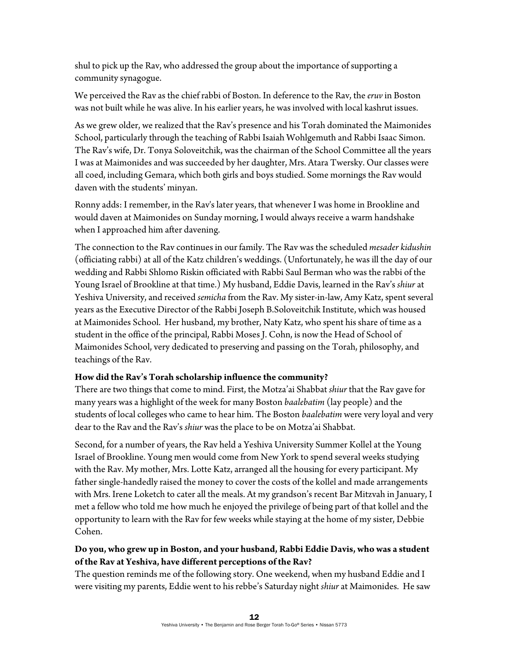shul to pick up the Rav, who addressed the group about the importance of supporting a community synagogue.

We perceived the Rav as the chief rabbi of Boston. In deference to the Rav, the *eruv* in Boston was not built while he was alive. In his earlier years, he was involved with local kashrut issues.

As we grew older, we realized that the Rav's presence and his Torah dominated the Maimonides School, particularly through the teaching of Rabbi Isaiah Wohlgemuth and Rabbi Isaac Simon. The Rav's wife, Dr. Tonya Soloveitchik, was the chairman of the School Committee all the years I was at Maimonides and was succeeded by her daughter, Mrs. Atara Twersky. Our classes were all coed, including Gemara, which both girls and boys studied. Some mornings the Rav would daven with the students' minyan.

Ronny adds: I remember, in the Rav's later years, that whenever I was home in Brookline and would daven at Maimonides on Sunday morning, I would always receive a warm handshake when I approached him after davening.

The connection to the Rav continues in our family. The Rav was the scheduled *mesader kidushin* (officiating rabbi) at all of the Katz children's weddings. (Unfortunately, he was ill the day of our wedding and Rabbi Shlomo Riskin officiated with Rabbi Saul Berman who was the rabbi of the Young Israel of Brookline at that time.) My husband, Eddie Davis, learned in the Rav's *shiur* at Yeshiva University, and received *semicha* from the Rav. My sister-in-law, Amy Katz, spent several years as the Executive Director of the Rabbi Joseph B.Soloveitchik Institute, which was housed at Maimonides School. Her husband, my brother, Naty Katz, who spent his share of time as a student in the office of the principal, Rabbi Moses J. Cohn, is now the Head of School of Maimonides School, very dedicated to preserving and passing on the Torah, philosophy, and teachings of the Rav.

#### **How did the Rav's Torah scholarship influence the community?**

There are two things that come to mind. First, the Motza'ai Shabbat *shiur* that the Rav gave for many years was a highlight of the week for many Boston *baalebatim* (lay people) and the students of local colleges who came to hear him. The Boston *baalebatim* were very loyal and very dear to the Rav and the Rav's *shiur* was the place to be on Motza'ai Shabbat.

Second, for a number of years, the Rav held a Yeshiva University Summer Kollel at the Young Israel of Brookline. Young men would come from New York to spend several weeks studying with the Rav. My mother, Mrs. Lotte Katz, arranged all the housing for every participant. My father single-handedly raised the money to cover the costs of the kollel and made arrangements with Mrs. Irene Loketch to cater all the meals. At my grandson's recent Bar Mitzvah in January, I met a fellow who told me how much he enjoyed the privilege of being part of that kollel and the opportunity to learn with the Rav for few weeks while staying at the home of my sister, Debbie Cohen.

# **Do you, who grew up in Boston, and your husband, Rabbi Eddie Davis, who was a student of the Rav at Yeshiva, have different perceptions of the Rav?**

The question reminds me of the following story. One weekend, when my husband Eddie and I were visiting my parents, Eddie went to his rebbe's Saturday night *shiur* at Maimonides. He saw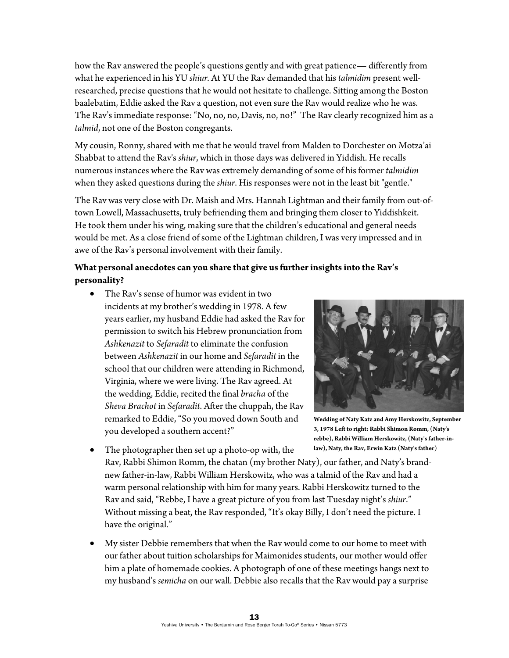how the Rav answered the people's questions gently and with great patience— differently from what he experienced in his YU *shiur.* At YU the Rav demanded that his *talmidim* present wellresearched, precise questions that he would not hesitate to challenge. Sitting among the Boston baalebatim, Eddie asked the Rav a question, not even sure the Rav would realize who he was. The Rav's immediate response: "No, no, no, Davis, no, no!" The Rav clearly recognized him as a *talmid*, not one of the Boston congregants.

My cousin, Ronny, shared with me that he would travel from Malden to Dorchester on Motza'ai Shabbat to attend the Rav's *shiur*, which in those days was delivered in Yiddish. He recalls numerous instances where the Rav was extremely demanding of some of his former *talmidim* when they asked questions during the *shiur*. His responses were not in the least bit "gentle."

The Rav was very close with Dr. Maish and Mrs. Hannah Lightman and their family from out-oftown Lowell, Massachusetts, truly befriending them and bringing them closer to Yiddishkeit. He took them under his wing, making sure that the children's educational and general needs would be met. As a close friend of some of the Lightman children, I was very impressed and in awe of the Rav's personal involvement with their family.

### **What personal anecdotes can you share that give us further insights into the Rav's personality?**

 The Rav's sense of humor was evident in two incidents at my brother's wedding in 1978. A few years earlier, my husband Eddie had asked the Rav for permission to switch his Hebrew pronunciation from *Ashkenazit* to *Sefaradit* to eliminate the confusion between *Ashkenazit* in our home and *Sefaradit* in the school that our children were attending in Richmond, Virginia, where we were living. The Rav agreed. At the wedding, Eddie, recited the final *bracha* of the *Sheva Brachot* in *Sefaradit*. After the chuppah, the Rav remarked to Eddie, "So you moved down South and you developed a southern accent?"



**Wedding of Naty Katz and Amy Herskowitz, September 3, 1978 Left to right: Rabbi Shimon Romm, (Naty's rebbe), Rabbi William Herskowitz, (Naty's father-inlaw), Naty, the Rav, Erwin Katz (Naty's father)** 

- The photographer then set up a photo-op with, the Rav, Rabbi Shimon Romm, the chatan (my brother Naty), our father, and Naty's brandnew father-in-law, Rabbi William Herskowitz, who was a talmid of the Rav and had a warm personal relationship with him for many years. Rabbi Herskowitz turned to the Rav and said, "Rebbe, I have a great picture of you from last Tuesday night's *shiur*." Without missing a beat, the Rav responded, "It's okay Billy, I don't need the picture. I have the original."
- My sister Debbie remembers that when the Rav would come to our home to meet with our father about tuition scholarships for Maimonides students, our mother would offer him a plate of homemade cookies. A photograph of one of these meetings hangs next to my husband's *semicha* on our wall. Debbie also recalls that the Rav would pay a surprise